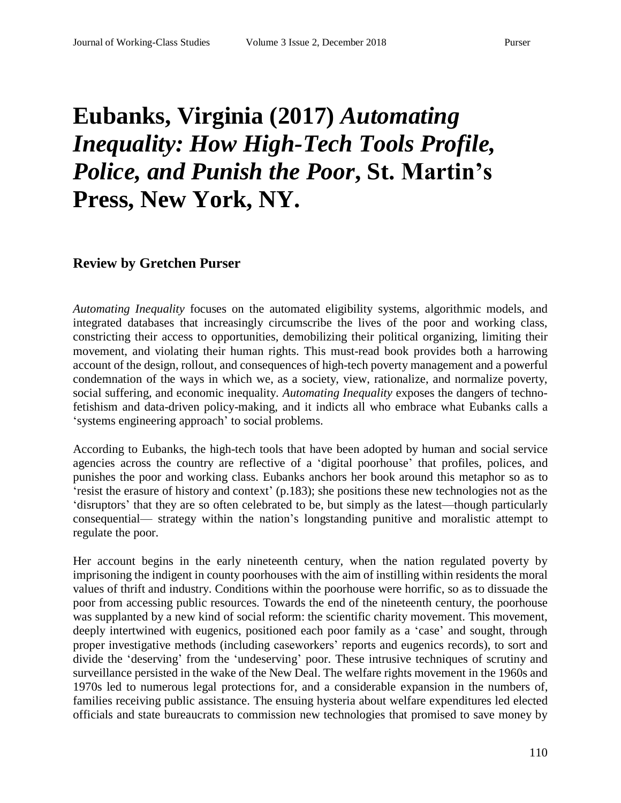## **Eubanks, Virginia (2017)** *Automating Inequality: How High-Tech Tools Profile, Police, and Punish the Poor***, St. Martin's Press, New York, NY.**

## **Review by Gretchen Purser**

*Automating Inequality* focuses on the automated eligibility systems, algorithmic models, and integrated databases that increasingly circumscribe the lives of the poor and working class, constricting their access to opportunities, demobilizing their political organizing, limiting their movement, and violating their human rights. This must-read book provides both a harrowing account of the design, rollout, and consequences of high-tech poverty management and a powerful condemnation of the ways in which we, as a society, view, rationalize, and normalize poverty, social suffering, and economic inequality. *Automating Inequality* exposes the dangers of technofetishism and data-driven policy-making, and it indicts all who embrace what Eubanks calls a 'systems engineering approach' to social problems.

According to Eubanks, the high-tech tools that have been adopted by human and social service agencies across the country are reflective of a 'digital poorhouse' that profiles, polices, and punishes the poor and working class. Eubanks anchors her book around this metaphor so as to 'resist the erasure of history and context' (p.183); she positions these new technologies not as the 'disruptors' that they are so often celebrated to be, but simply as the latest—though particularly consequential— strategy within the nation's longstanding punitive and moralistic attempt to regulate the poor.

Her account begins in the early nineteenth century, when the nation regulated poverty by imprisoning the indigent in county poorhouses with the aim of instilling within residents the moral values of thrift and industry. Conditions within the poorhouse were horrific, so as to dissuade the poor from accessing public resources. Towards the end of the nineteenth century, the poorhouse was supplanted by a new kind of social reform: the scientific charity movement. This movement, deeply intertwined with eugenics, positioned each poor family as a 'case' and sought, through proper investigative methods (including caseworkers' reports and eugenics records), to sort and divide the 'deserving' from the 'undeserving' poor. These intrusive techniques of scrutiny and surveillance persisted in the wake of the New Deal. The welfare rights movement in the 1960s and 1970s led to numerous legal protections for, and a considerable expansion in the numbers of, families receiving public assistance. The ensuing hysteria about welfare expenditures led elected officials and state bureaucrats to commission new technologies that promised to save money by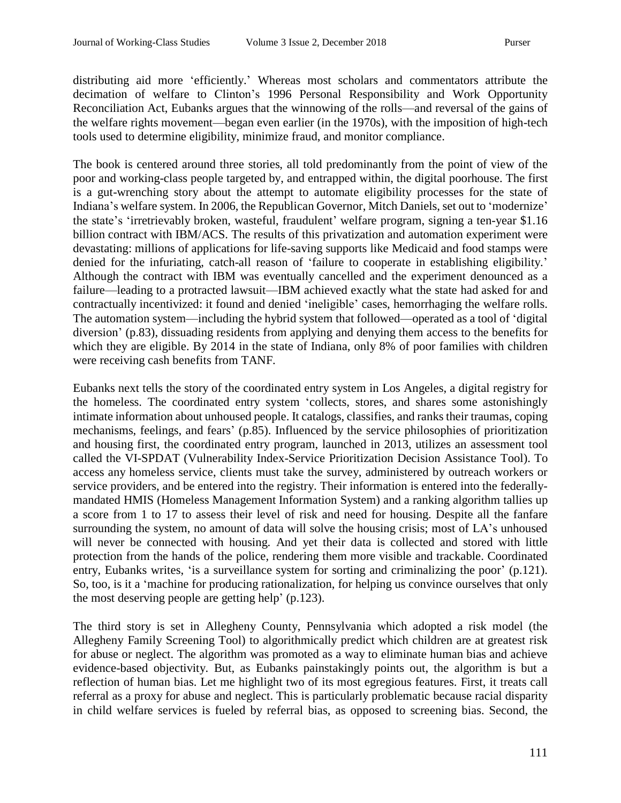distributing aid more 'efficiently.' Whereas most scholars and commentators attribute the decimation of welfare to Clinton's 1996 Personal Responsibility and Work Opportunity Reconciliation Act, Eubanks argues that the winnowing of the rolls—and reversal of the gains of the welfare rights movement—began even earlier (in the 1970s), with the imposition of high-tech tools used to determine eligibility, minimize fraud, and monitor compliance.

The book is centered around three stories, all told predominantly from the point of view of the poor and working-class people targeted by, and entrapped within, the digital poorhouse. The first is a gut-wrenching story about the attempt to automate eligibility processes for the state of Indiana's welfare system. In 2006, the Republican Governor, Mitch Daniels, set out to 'modernize' the state's 'irretrievably broken, wasteful, fraudulent' welfare program, signing a ten-year \$1.16 billion contract with IBM/ACS. The results of this privatization and automation experiment were devastating: millions of applications for life-saving supports like Medicaid and food stamps were denied for the infuriating, catch-all reason of 'failure to cooperate in establishing eligibility.' Although the contract with IBM was eventually cancelled and the experiment denounced as a failure—leading to a protracted lawsuit—IBM achieved exactly what the state had asked for and contractually incentivized: it found and denied 'ineligible' cases, hemorrhaging the welfare rolls. The automation system—including the hybrid system that followed—operated as a tool of 'digital diversion' (p.83), dissuading residents from applying and denying them access to the benefits for which they are eligible. By 2014 in the state of Indiana, only 8% of poor families with children were receiving cash benefits from TANF.

Eubanks next tells the story of the coordinated entry system in Los Angeles, a digital registry for the homeless. The coordinated entry system 'collects, stores, and shares some astonishingly intimate information about unhoused people. It catalogs, classifies, and ranks their traumas, coping mechanisms, feelings, and fears' (p.85). Influenced by the service philosophies of prioritization and housing first, the coordinated entry program, launched in 2013, utilizes an assessment tool called the VI-SPDAT (Vulnerability Index-Service Prioritization Decision Assistance Tool). To access any homeless service, clients must take the survey, administered by outreach workers or service providers, and be entered into the registry. Their information is entered into the federallymandated HMIS (Homeless Management Information System) and a ranking algorithm tallies up a score from 1 to 17 to assess their level of risk and need for housing. Despite all the fanfare surrounding the system, no amount of data will solve the housing crisis; most of LA's unhoused will never be connected with housing. And yet their data is collected and stored with little protection from the hands of the police, rendering them more visible and trackable. Coordinated entry, Eubanks writes, 'is a surveillance system for sorting and criminalizing the poor' (p.121). So, too, is it a 'machine for producing rationalization, for helping us convince ourselves that only the most deserving people are getting help' (p.123).

The third story is set in Allegheny County, Pennsylvania which adopted a risk model (the Allegheny Family Screening Tool) to algorithmically predict which children are at greatest risk for abuse or neglect. The algorithm was promoted as a way to eliminate human bias and achieve evidence-based objectivity. But, as Eubanks painstakingly points out, the algorithm is but a reflection of human bias. Let me highlight two of its most egregious features. First, it treats call referral as a proxy for abuse and neglect. This is particularly problematic because racial disparity in child welfare services is fueled by referral bias, as opposed to screening bias. Second, the